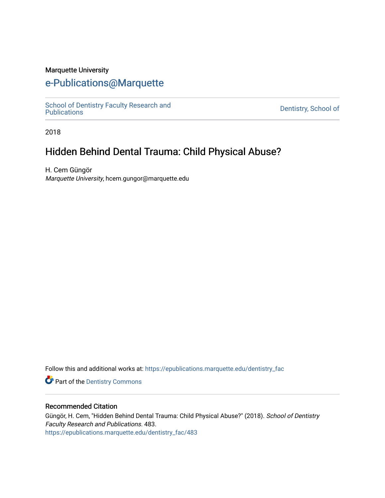### Marquette University

## [e-Publications@Marquette](https://epublications.marquette.edu/)

School of Dentistry Faculty Research and<br>Publications

Dentistry, School of

2018

# Hidden Behind Dental Trauma: Child Physical Abuse?

H. Cem Güngör Marquette University, hcem.gungor@marquette.edu

Follow this and additional works at: [https://epublications.marquette.edu/dentistry\\_fac](https://epublications.marquette.edu/dentistry_fac?utm_source=epublications.marquette.edu%2Fdentistry_fac%2F483&utm_medium=PDF&utm_campaign=PDFCoverPages) 

**Part of the Dentistry Commons** 

#### Recommended Citation

Güngör, H. Cem, "Hidden Behind Dental Trauma: Child Physical Abuse?" (2018). School of Dentistry Faculty Research and Publications. 483. [https://epublications.marquette.edu/dentistry\\_fac/483](https://epublications.marquette.edu/dentistry_fac/483?utm_source=epublications.marquette.edu%2Fdentistry_fac%2F483&utm_medium=PDF&utm_campaign=PDFCoverPages)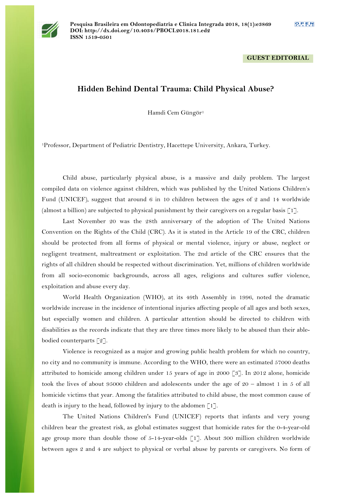

#### **GUEST EDITORIAL**

## **Hidden Behind Dental Trauma: Child Physical Abuse?**

Hamdi Cem Güngör<sup>1</sup>

1Professor, Department of Pediatric Dentistry, Hacettepe University, Ankara, Turkey.

Child abuse, particularly physical abuse, is a massive and daily problem. The largest compiled data on violence against children, which was published by the United Nations Children's Fund (UNICEF), suggest that around 6 in 10 children between the ages of 2 and 14 worldwide (almost a billion) are subjected to physical punishment by their caregivers on a regular basis [1].

Last November 20 was the 28th anniversary of the adoption of The United Nations Convention on the Rights of the Child (CRC). As it is stated in the Article 19 of the CRC, children should be protected from all forms of physical or mental violence, injury or abuse, neglect or negligent treatment, maltreatment or exploitation. The 2nd article of the CRC ensures that the rights of all children should be respected without discrimination. Yet, millions of children worldwide from all socio-economic backgrounds, across all ages, religions and cultures suffer violence, exploitation and abuse every day.

World Health Organization (WHO), at its 49th Assembly in 1996, noted the dramatic worldwide increase in the incidence of intentional injuries affecting people of all ages and both sexes, but especially women and children. A particular attention should be directed to children with disabilities as the records indicate that they are three times more likely to be abused than their ablebodied counterparts [2].

Violence is recognized as a major and growing public health problem for which no country, no city and no community is immune. According to the WHO, there were an estimated 57000 deaths attributed to homicide among children under 15 years of age in 2000 [3]. In 2012 alone, homicide took the lives of about 95000 children and adolescents under the age of 20 – almost 1 in 5 of all homicide victims that year. Among the fatalities attributed to child abuse, the most common cause of death is injury to the head, followed by injury to the abdomen  $\lceil 1 \rceil$ .

The United Nations Children's Fund (UNICEF) reports that infants and very young children bear the greatest risk, as global estimates suggest that homicide rates for the 0-4-year-old age group more than double those of  $5-14$ -year-olds [1]. About 300 million children worldwide between ages 2 and 4 are subject to physical or verbal abuse by parents or caregivers. No form of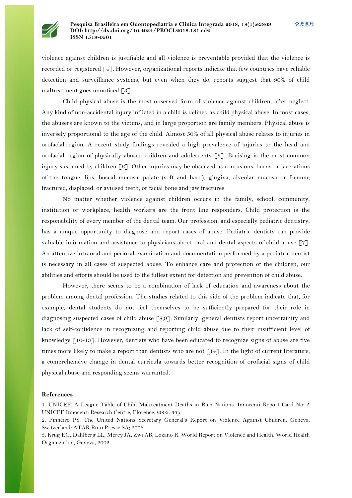

violence against children is justifiable and all violence is preventable provided that the violence is recorded or registered [4]. However, organizational reports indicate that few countries have reliable detection and surveillance systems, but even when they do, reports suggest that 90% of child maltreatment goes unnoticed [3].

Child physical abuse is the most observed form of violence against children, after neglect. Any kind of non-accidental injury inflicted in a child is defined as child physical abuse. In most cases, the abusers are known to the victims, and in large proportion are family members. Physical abuse is inversely proportional to the age of the child. Almost 50% of all physical abuse relates to injuries in orofacial region. A recent study findings revealed a high prevalence of injuries to the head and orofacial region of physically abused children and adolescents [5]. Bruising is the most common injury sustained by children [6]. Other injuries may be observed as contusions, burns or lacerations of the tongue, lips, buccal mucosa, palate (soft and hard), gingiva, alveolar mucosa or frenum; fractured, displaced, or avulsed teeth; or facial bone and jaw fractures.

No matter whether violence against children occurs in the family, school, community, institution or workplace, health workers are the front line responders. Child protection is the responsibility of every member of the dental team. Our profession, and especially pediatric dentistry, has a unique opportunity to diagnose and report cases of abuse. Pediatric dentists can provide valuable information and assistance to physicians about oral and dental aspects of child abuse [7]. An attentive intraoral and perioral examination and documentation performed by a pediatric dentist is necessary in all cases of suspected abuse. To enhance care and protection of the children, our abilities and efforts should be used to the fullest extent for detection and prevention of child abuse.

However, there seems to be a combination of lack of education and awareness about the problem among dental profession. The studies related to this side of the problem indicate that, for example, dental students do not feel themselves to be sufficiently prepared for their role in diagnosing suspected cases of child abuse [8,9]. Similarly, general dentists report uncertainity and lack of self-confidence in recognizing and reporting child abuse due to their insufficient level of knowledge  $\lceil 10-13 \rceil$ . However, dentists who have been educated to recognize signs of abuse are five times more likely to make a report than dentists who are not [14]. In the light of current literature, a comprehensive change in dental curricula towards better recognition of orofacial signs of child physical abuse and responding seems warranted.

#### **References**

1. UNICEF. A League Table of Child Maltreatment Deaths in Rich Nations. Innocenti Report Card No: 5 UNICEF Innocenti Research Centre, Florence, 2003. 36p.

2. Pinheiro PS. The United Nations Secretary General's Report on Violence Against Children. Geneva, Switzerland: ATAR Roto Presse SA; 2006.

3. Krug EG, Dahlberg LL, Mercy JA, Zwi AB, Lozano R. World Report on Violence and Health. World Health Organization, Geneva, 2002.